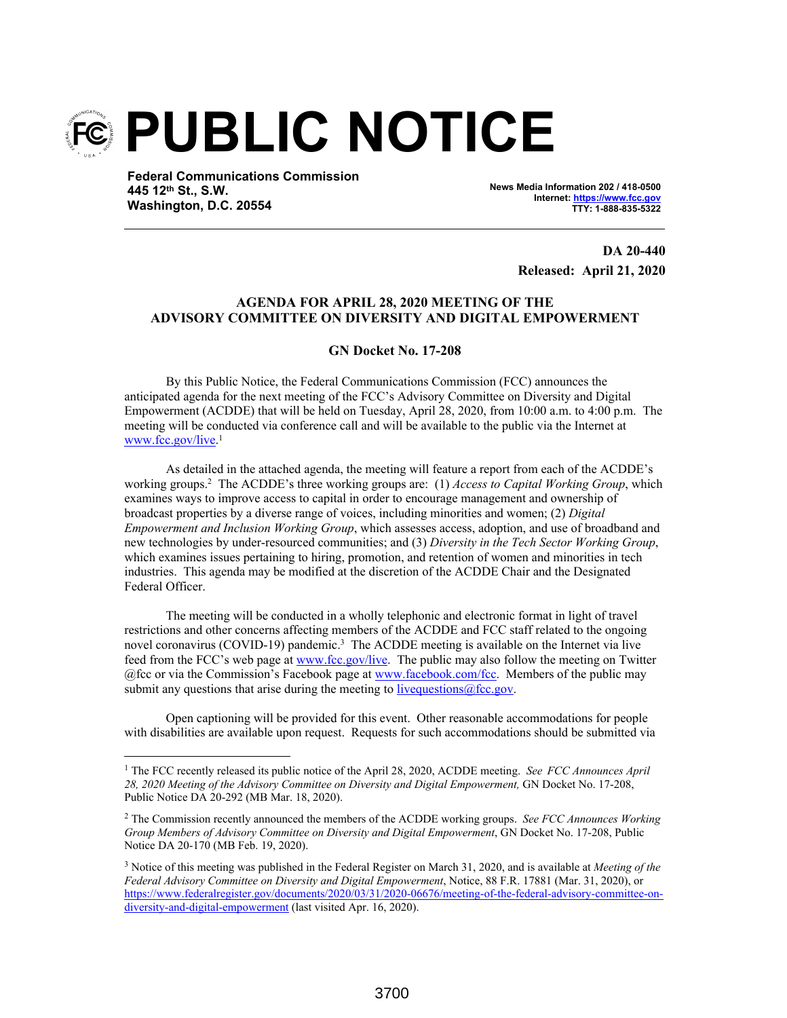

**Federal Communications Commission 445 12th St., S.W. Washington, D.C. 20554**

**News Media Information 202 / 418-0500 Internet: https://www.fcc.gov TTY: 1-888-835-5322**

> **DA 20-440 Released: April 21, 2020**

#### **AGENDA FOR APRIL 28, 2020 MEETING OF THE ADVISORY COMMITTEE ON DIVERSITY AND DIGITAL EMPOWERMENT**

#### **GN Docket No. 17-208**

By this Public Notice, the Federal Communications Commission (FCC) announces the anticipated agenda for the next meeting of the FCC's Advisory Committee on Diversity and Digital Empowerment (ACDDE) that will be held on Tuesday, April 28, 2020, from 10:00 a.m. to 4:00 p.m. The meeting will be conducted via conference call and will be available to the public via the Internet at www.fcc.gov/live. 1

As detailed in the attached agenda, the meeting will feature a report from each of the ACDDE's working groups.<sup>2</sup> The ACDDE's three working groups are: (1) *Access to Capital Working Group*, which examines ways to improve access to capital in order to encourage management and ownership of broadcast properties by a diverse range of voices, including minorities and women; (2) *Digital Empowerment and Inclusion Working Group*, which assesses access, adoption, and use of broadband and new technologies by under-resourced communities; and (3) *Diversity in the Tech Sector Working Group*, which examines issues pertaining to hiring, promotion, and retention of women and minorities in tech industries. This agenda may be modified at the discretion of the ACDDE Chair and the Designated Federal Officer.

The meeting will be conducted in a wholly telephonic and electronic format in light of travel restrictions and other concerns affecting members of the ACDDE and FCC staff related to the ongoing novel coronavirus (COVID-19) pandemic.<sup>3</sup> The ACDDE meeting is available on the Internet via live feed from the FCC's web page at www.fcc.gov/live. The public may also follow the meeting on Twitter @fcc or via the Commission's Facebook page at www.facebook.com/fcc. Members of the public may submit any questions that arise during the meeting to live questions  $@$  fcc.gov.

Open captioning will be provided for this event. Other reasonable accommodations for people with disabilities are available upon request. Requests for such accommodations should be submitted via

<sup>&</sup>lt;sup>1</sup> The FCC recently released its public notice of the April 28, 2020, ACDDE meeting. *See FCC Announces April 28, 2020 Meeting of the Advisory Committee on Diversity and Digital Empowerment,* GN Docket No. 17-208, Public Notice DA 20-292 (MB Mar. 18, 2020).

<sup>2</sup> The Commission recently announced the members of the ACDDE working groups. *See FCC Announces Working Group Members of Advisory Committee on Diversity and Digital Empowerment*, GN Docket No. 17-208, Public Notice DA 20-170 (MB Feb. 19, 2020).

<sup>3</sup> Notice of this meeting was published in the Federal Register on March 31, 2020, and is available at *Meeting of the Federal Advisory Committee on Diversity and Digital Empowerment*, Notice, 88 F.R. 17881 (Mar. 31, 2020), or https://www.federalregister.gov/documents/2020/03/31/2020-06676/meeting-of-the-federal-advisory-committee-ondiversity-and-digital-empowerment (last visited Apr. 16, 2020).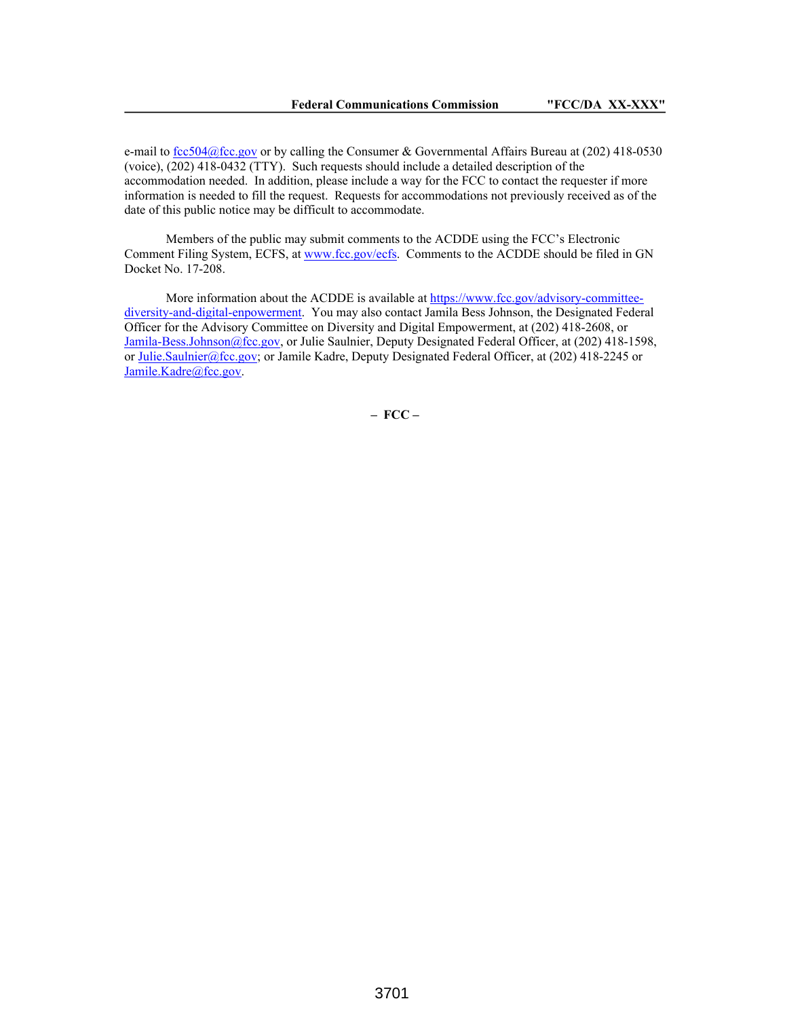e-mail to fcc504@fcc.gov or by calling the Consumer & Governmental Affairs Bureau at  $(202)$  418-0530 (voice), (202) 418-0432 (TTY). Such requests should include a detailed description of the accommodation needed. In addition, please include a way for the FCC to contact the requester if more information is needed to fill the request. Requests for accommodations not previously received as of the date of this public notice may be difficult to accommodate.

Members of the public may submit comments to the ACDDE using the FCC's Electronic Comment Filing System, ECFS, at www.fcc.gov/ecfs. Comments to the ACDDE should be filed in GN Docket No. 17-208.

More information about the ACDDE is available at https://www.fcc.gov/advisory-committeediversity-and-digital-enpowerment. You may also contact Jamila Bess Johnson, the Designated Federal Officer for the Advisory Committee on Diversity and Digital Empowerment, at (202) 418-2608, or Jamila-Bess.Johnson@fcc.gov, or Julie Saulnier, Deputy Designated Federal Officer, at (202) 418-1598, or Julie.Saulnier@fcc.gov; or Jamile Kadre, Deputy Designated Federal Officer, at (202) 418-2245 or Jamile.Kadre@fcc.gov.

**– FCC –**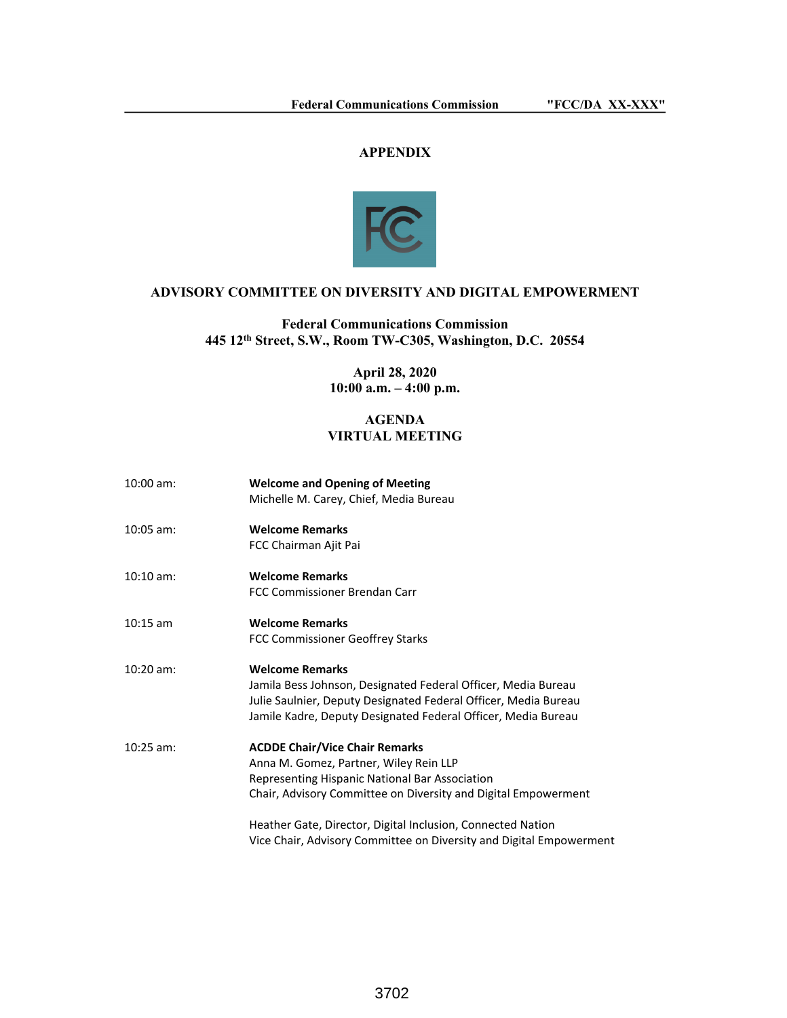# **APPENDIX**



# **ADVISORY COMMITTEE ON DIVERSITY AND DIGITAL EMPOWERMENT**

# **Federal Communications Commission 445 12th Street, S.W., Room TW-C305, Washington, D.C. 20554**

**April 28, 2020 10:00 a.m. – 4:00 p.m.**

### **AGENDA VIRTUAL MEETING**

| $10:00$ am: | <b>Welcome and Opening of Meeting</b><br>Michelle M. Carey, Chief, Media Bureau                                                                                                                                             |
|-------------|-----------------------------------------------------------------------------------------------------------------------------------------------------------------------------------------------------------------------------|
| $10:05$ am: | <b>Welcome Remarks</b><br>FCC Chairman Ajit Pai                                                                                                                                                                             |
| $10:10$ am: | <b>Welcome Remarks</b><br>FCC Commissioner Brendan Carr                                                                                                                                                                     |
| $10:15$ am  | <b>Welcome Remarks</b><br>FCC Commissioner Geoffrey Starks                                                                                                                                                                  |
| $10:20$ am: | <b>Welcome Remarks</b><br>Jamila Bess Johnson, Designated Federal Officer, Media Bureau<br>Julie Saulnier, Deputy Designated Federal Officer, Media Bureau<br>Jamile Kadre, Deputy Designated Federal Officer, Media Bureau |
| $10:25$ am: | <b>ACDDE Chair/Vice Chair Remarks</b><br>Anna M. Gomez, Partner, Wiley Rein LLP<br>Representing Hispanic National Bar Association<br>Chair, Advisory Committee on Diversity and Digital Empowerment                         |
|             | Heather Gate, Director, Digital Inclusion, Connected Nation<br>Vice Chair, Advisory Committee on Diversity and Digital Empowerment                                                                                          |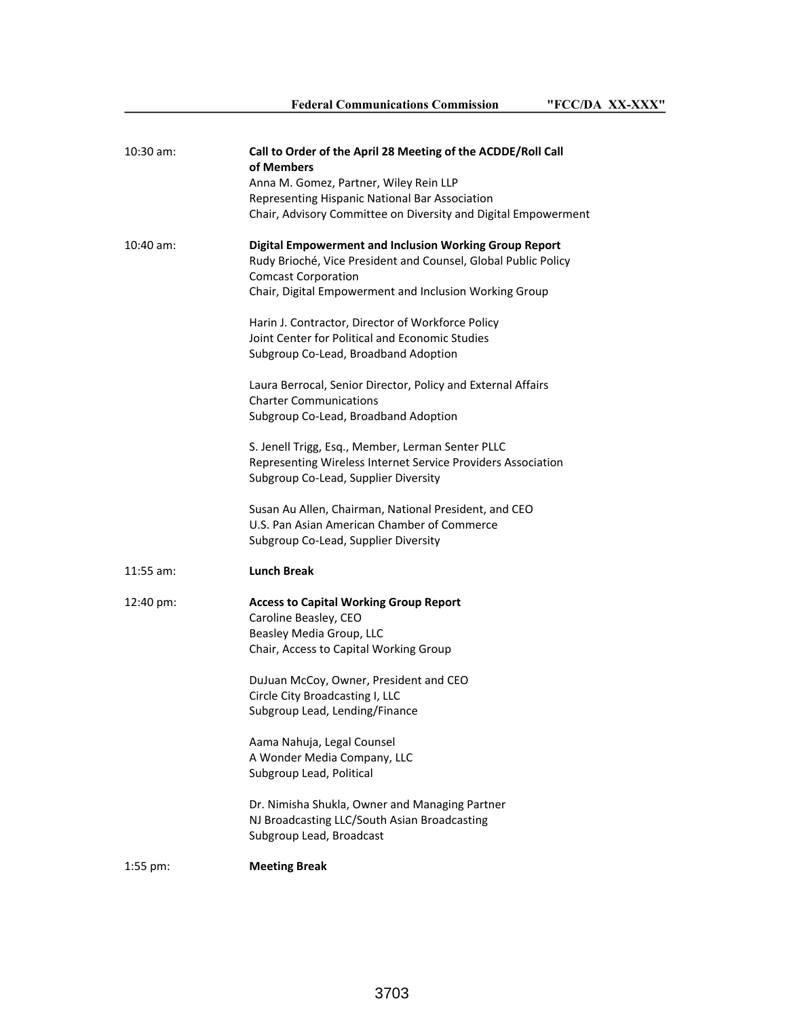| 10:30 am:            | Call to Order of the April 28 Meeting of the ACDDE/Roll Call<br>of Members<br>Anna M. Gomez, Partner, Wiley Rein LLP<br>Representing Hispanic National Bar Association<br>Chair, Advisory Committee on Diversity and Digital Empowerment |
|----------------------|------------------------------------------------------------------------------------------------------------------------------------------------------------------------------------------------------------------------------------------|
| $10:40$ am:          | <b>Digital Empowerment and Inclusion Working Group Report</b><br>Rudy Brioché, Vice President and Counsel, Global Public Policy<br><b>Comcast Corporation</b><br>Chair, Digital Empowerment and Inclusion Working Group                  |
|                      | Harin J. Contractor, Director of Workforce Policy<br>Joint Center for Political and Economic Studies<br>Subgroup Co-Lead, Broadband Adoption                                                                                             |
|                      | Laura Berrocal, Senior Director, Policy and External Affairs<br><b>Charter Communications</b><br>Subgroup Co-Lead, Broadband Adoption                                                                                                    |
|                      | S. Jenell Trigg, Esq., Member, Lerman Senter PLLC<br>Representing Wireless Internet Service Providers Association<br>Subgroup Co-Lead, Supplier Diversity                                                                                |
|                      | Susan Au Allen, Chairman, National President, and CEO<br>U.S. Pan Asian American Chamber of Commerce<br>Subgroup Co-Lead, Supplier Diversity                                                                                             |
| $11:55$ am:          | <b>Lunch Break</b>                                                                                                                                                                                                                       |
| $12:40 \text{ pm}$ : | <b>Access to Capital Working Group Report</b><br>Caroline Beasley, CEO<br>Beasley Media Group, LLC<br>Chair, Access to Capital Working Group                                                                                             |
|                      | DuJuan McCoy, Owner, President and CEO<br>Circle City Broadcasting I, LLC<br>Subgroup Lead, Lending/Finance                                                                                                                              |
|                      | Aama Nahuja, Legal Counsel<br>A Wonder Media Company, LLC<br>Subgroup Lead, Political                                                                                                                                                    |
|                      | Dr. Nimisha Shukla, Owner and Managing Partner<br>NJ Broadcasting LLC/South Asian Broadcasting<br>Subgroup Lead, Broadcast                                                                                                               |
| 1:55 pm:             | <b>Meeting Break</b>                                                                                                                                                                                                                     |